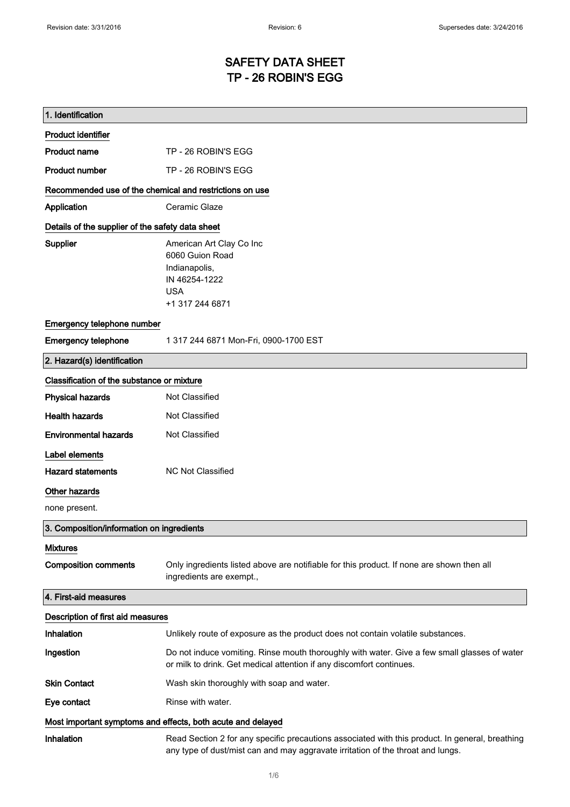### SAFETY DATA SHEET TP - 26 ROBIN'S EGG

| 1. Identification                                           |                                                                                                                                                                                    |  |
|-------------------------------------------------------------|------------------------------------------------------------------------------------------------------------------------------------------------------------------------------------|--|
| <b>Product identifier</b>                                   |                                                                                                                                                                                    |  |
| <b>Product name</b>                                         | TP - 26 ROBIN'S EGG                                                                                                                                                                |  |
| <b>Product number</b>                                       | TP - 26 ROBIN'S EGG                                                                                                                                                                |  |
| Recommended use of the chemical and restrictions on use     |                                                                                                                                                                                    |  |
| Application                                                 | Ceramic Glaze                                                                                                                                                                      |  |
| Details of the supplier of the safety data sheet            |                                                                                                                                                                                    |  |
| Supplier                                                    | American Art Clay Co Inc<br>6060 Guion Road<br>Indianapolis,<br>IN 46254-1222<br><b>USA</b><br>+1 317 244 6871                                                                     |  |
| Emergency telephone number                                  |                                                                                                                                                                                    |  |
| <b>Emergency telephone</b>                                  | 1 317 244 6871 Mon-Fri, 0900-1700 EST                                                                                                                                              |  |
| 2. Hazard(s) identification                                 |                                                                                                                                                                                    |  |
| Classification of the substance or mixture                  |                                                                                                                                                                                    |  |
| <b>Physical hazards</b>                                     | Not Classified                                                                                                                                                                     |  |
| <b>Health hazards</b>                                       | Not Classified                                                                                                                                                                     |  |
| <b>Environmental hazards</b>                                | Not Classified                                                                                                                                                                     |  |
| Label elements                                              |                                                                                                                                                                                    |  |
| <b>Hazard statements</b>                                    | <b>NC Not Classified</b>                                                                                                                                                           |  |
| Other hazards                                               |                                                                                                                                                                                    |  |
| none present.                                               |                                                                                                                                                                                    |  |
| 3. Composition/information on ingredients                   |                                                                                                                                                                                    |  |
| <b>Mixtures</b>                                             |                                                                                                                                                                                    |  |
| <b>Composition comments</b>                                 | Only ingredients listed above are notifiable for this product. If none are shown then all<br>ingredients are exempt.,                                                              |  |
| 4. First-aid measures                                       |                                                                                                                                                                                    |  |
| Description of first aid measures                           |                                                                                                                                                                                    |  |
| Inhalation                                                  | Unlikely route of exposure as the product does not contain volatile substances.                                                                                                    |  |
| Ingestion                                                   | Do not induce vomiting. Rinse mouth thoroughly with water. Give a few small glasses of water<br>or milk to drink. Get medical attention if any discomfort continues.               |  |
| <b>Skin Contact</b>                                         | Wash skin thoroughly with soap and water.                                                                                                                                          |  |
| Eye contact                                                 | Rinse with water.                                                                                                                                                                  |  |
| Most important symptoms and effects, both acute and delayed |                                                                                                                                                                                    |  |
| Inhalation                                                  | Read Section 2 for any specific precautions associated with this product. In general, breathing<br>any type of dust/mist can and may aggravate irritation of the throat and lungs. |  |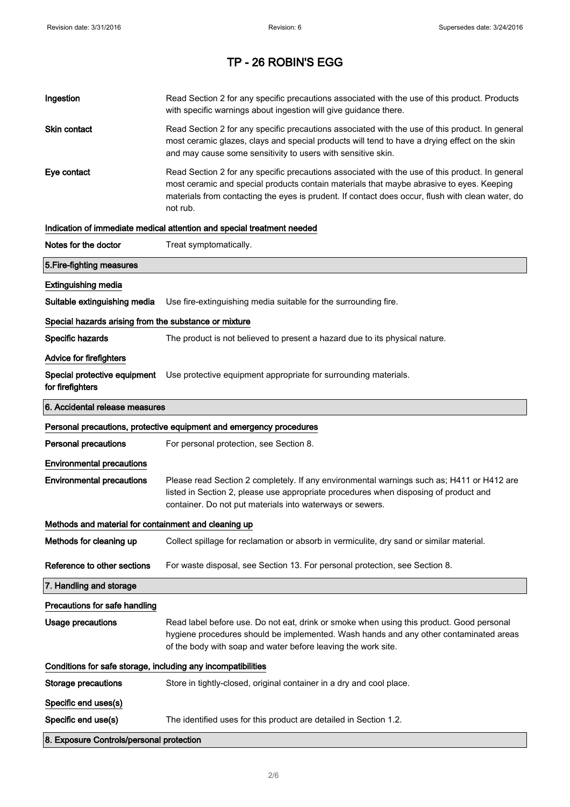| Ingestion                                                    | Read Section 2 for any specific precautions associated with the use of this product. Products<br>with specific warnings about ingestion will give guidance there.                                                                                                                                           |
|--------------------------------------------------------------|-------------------------------------------------------------------------------------------------------------------------------------------------------------------------------------------------------------------------------------------------------------------------------------------------------------|
| <b>Skin contact</b>                                          | Read Section 2 for any specific precautions associated with the use of this product. In general<br>most ceramic glazes, clays and special products will tend to have a drying effect on the skin<br>and may cause some sensitivity to users with sensitive skin.                                            |
| Eye contact                                                  | Read Section 2 for any specific precautions associated with the use of this product. In general<br>most ceramic and special products contain materials that maybe abrasive to eyes. Keeping<br>materials from contacting the eyes is prudent. If contact does occur, flush with clean water, do<br>not rub. |
|                                                              | Indication of immediate medical attention and special treatment needed                                                                                                                                                                                                                                      |
| Notes for the doctor                                         | Treat symptomatically.                                                                                                                                                                                                                                                                                      |
| 5. Fire-fighting measures                                    |                                                                                                                                                                                                                                                                                                             |
| <b>Extinguishing media</b>                                   |                                                                                                                                                                                                                                                                                                             |
| Suitable extinguishing media                                 | Use fire-extinguishing media suitable for the surrounding fire.                                                                                                                                                                                                                                             |
| Special hazards arising from the substance or mixture        |                                                                                                                                                                                                                                                                                                             |
| Specific hazards                                             | The product is not believed to present a hazard due to its physical nature.                                                                                                                                                                                                                                 |
| <b>Advice for firefighters</b>                               |                                                                                                                                                                                                                                                                                                             |
| Special protective equipment<br>for firefighters             | Use protective equipment appropriate for surrounding materials.                                                                                                                                                                                                                                             |
| 6. Accidental release measures                               |                                                                                                                                                                                                                                                                                                             |
|                                                              | Personal precautions, protective equipment and emergency procedures                                                                                                                                                                                                                                         |
| <b>Personal precautions</b>                                  | For personal protection, see Section 8.                                                                                                                                                                                                                                                                     |
| <b>Environmental precautions</b>                             |                                                                                                                                                                                                                                                                                                             |
| <b>Environmental precautions</b>                             | Please read Section 2 completely. If any environmental warnings such as; H411 or H412 are<br>listed in Section 2, please use appropriate procedures when disposing of product and<br>container. Do not put materials into waterways or sewers.                                                              |
| Methods and material for containment and cleaning up         |                                                                                                                                                                                                                                                                                                             |
| Methods for cleaning up                                      | Collect spillage for reclamation or absorb in vermiculite, dry sand or similar material.                                                                                                                                                                                                                    |
| Reference to other sections                                  | For waste disposal, see Section 13. For personal protection, see Section 8.                                                                                                                                                                                                                                 |
| 7. Handling and storage                                      |                                                                                                                                                                                                                                                                                                             |
| Precautions for safe handling                                |                                                                                                                                                                                                                                                                                                             |
| <b>Usage precautions</b>                                     | Read label before use. Do not eat, drink or smoke when using this product. Good personal<br>hygiene procedures should be implemented. Wash hands and any other contaminated areas<br>of the body with soap and water before leaving the work site.                                                          |
| Conditions for safe storage, including any incompatibilities |                                                                                                                                                                                                                                                                                                             |
| <b>Storage precautions</b>                                   | Store in tightly-closed, original container in a dry and cool place.                                                                                                                                                                                                                                        |
| Specific end uses(s)                                         |                                                                                                                                                                                                                                                                                                             |
| Specific end use(s)                                          | The identified uses for this product are detailed in Section 1.2.                                                                                                                                                                                                                                           |
| 8. Exposure Controls/personal protection                     |                                                                                                                                                                                                                                                                                                             |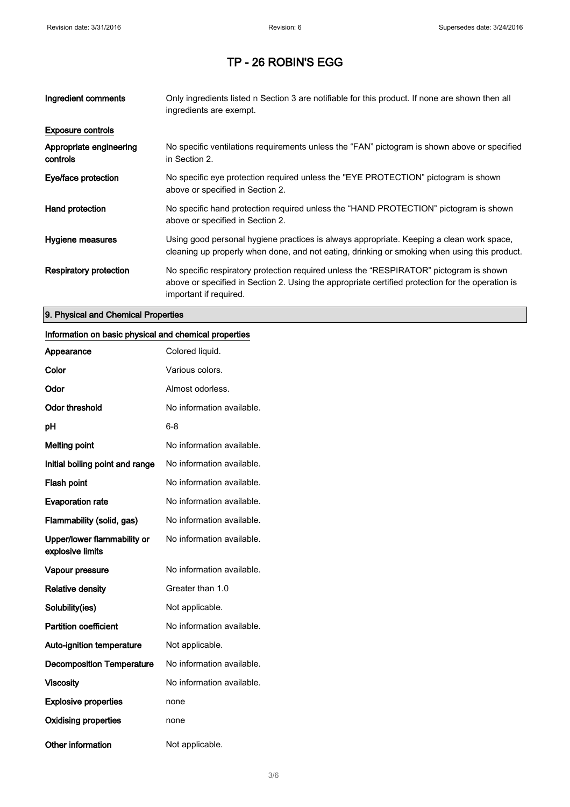| Ingredient comments                 | Only ingredients listed n Section 3 are notifiable for this product. If none are shown then all<br>ingredients are exempt.                                                                                           |
|-------------------------------------|----------------------------------------------------------------------------------------------------------------------------------------------------------------------------------------------------------------------|
| <b>Exposure controls</b>            |                                                                                                                                                                                                                      |
| Appropriate engineering<br>controls | No specific ventilations requirements unless the "FAN" pictogram is shown above or specified<br>in Section 2.                                                                                                        |
| Eye/face protection                 | No specific eye protection required unless the "EYE PROTECTION" pictogram is shown<br>above or specified in Section 2.                                                                                               |
| Hand protection                     | No specific hand protection required unless the "HAND PROTECTION" pictogram is shown<br>above or specified in Section 2.                                                                                             |
| Hygiene measures                    | Using good personal hygiene practices is always appropriate. Keeping a clean work space,<br>cleaning up properly when done, and not eating, drinking or smoking when using this product.                             |
| <b>Respiratory protection</b>       | No specific respiratory protection required unless the "RESPIRATOR" pictogram is shown<br>above or specified in Section 2. Using the appropriate certified protection for the operation is<br>important if required. |

#### 9. Physical and Chemical Properties

### Information on basic physical and chemical properties

| Appearance                                      | Colored liquid.           |
|-------------------------------------------------|---------------------------|
| Color                                           | Various colors.           |
| Odor                                            | Almost odorless.          |
| <b>Odor threshold</b>                           | No information available. |
| рH                                              | 6-8                       |
| <b>Melting point</b>                            | No information available. |
| Initial boiling point and range                 | No information available. |
| Flash point                                     | No information available. |
| <b>Evaporation rate</b>                         | No information available. |
| Flammability (solid, gas)                       | No information available. |
| Upper/lower flammability or<br>explosive limits | No information available. |
| Vapour pressure                                 | No information available. |
| <b>Relative density</b>                         | Greater than 1.0          |
| Solubility(ies)                                 | Not applicable.           |
| <b>Partition coefficient</b>                    | No information available. |
| <b>Auto-ignition temperature</b>                | Not applicable.           |
| <b>Decomposition Temperature</b>                | No information available. |
| <b>Viscosity</b>                                | No information available. |
| <b>Explosive properties</b>                     | none                      |
| <b>Oxidising properties</b>                     | none                      |
| Other information                               | Not applicable.           |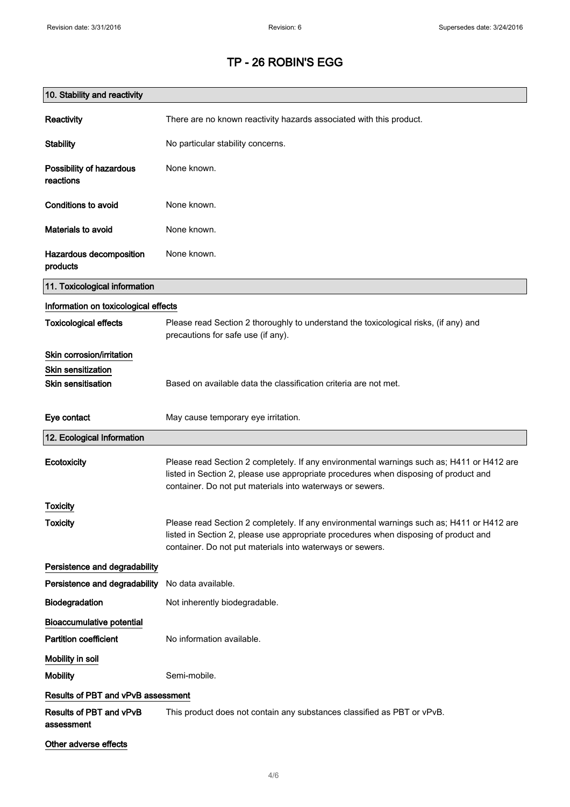| 10. Stability and reactivity          |                                                                                                                                                                                                                                                |
|---------------------------------------|------------------------------------------------------------------------------------------------------------------------------------------------------------------------------------------------------------------------------------------------|
| Reactivity                            | There are no known reactivity hazards associated with this product.                                                                                                                                                                            |
| <b>Stability</b>                      | No particular stability concerns.                                                                                                                                                                                                              |
| Possibility of hazardous<br>reactions | None known.                                                                                                                                                                                                                                    |
| <b>Conditions to avoid</b>            | None known.                                                                                                                                                                                                                                    |
| Materials to avoid                    | None known.                                                                                                                                                                                                                                    |
| Hazardous decomposition<br>products   | None known.                                                                                                                                                                                                                                    |
| 11. Toxicological information         |                                                                                                                                                                                                                                                |
| Information on toxicological effects  |                                                                                                                                                                                                                                                |
| <b>Toxicological effects</b>          | Please read Section 2 thoroughly to understand the toxicological risks, (if any) and<br>precautions for safe use (if any).                                                                                                                     |
| Skin corrosion/irritation             |                                                                                                                                                                                                                                                |
| <b>Skin sensitization</b>             |                                                                                                                                                                                                                                                |
| <b>Skin sensitisation</b>             | Based on available data the classification criteria are not met.                                                                                                                                                                               |
| Eye contact                           | May cause temporary eye irritation.                                                                                                                                                                                                            |
| 12. Ecological Information            |                                                                                                                                                                                                                                                |
| <b>Ecotoxicity</b>                    | Please read Section 2 completely. If any environmental warnings such as; H411 or H412 are<br>listed in Section 2, please use appropriate procedures when disposing of product and<br>container. Do not put materials into waterways or sewers. |
| <b>Toxicity</b>                       |                                                                                                                                                                                                                                                |
| <b>Toxicity</b>                       | Please read Section 2 completely. If any environmental warnings such as; H411 or H412 are<br>listed in Section 2, please use appropriate procedures when disposing of product and<br>container. Do not put materials into waterways or sewers. |
| Persistence and degradability         |                                                                                                                                                                                                                                                |
| Persistence and degradability         | No data available.                                                                                                                                                                                                                             |
| Biodegradation                        | Not inherently biodegradable.                                                                                                                                                                                                                  |
| <b>Bioaccumulative potential</b>      |                                                                                                                                                                                                                                                |
| <b>Partition coefficient</b>          | No information available.                                                                                                                                                                                                                      |
| Mobility in soil                      |                                                                                                                                                                                                                                                |
| <b>Mobility</b>                       | Semi-mobile.                                                                                                                                                                                                                                   |
| Results of PBT and vPvB assessment    |                                                                                                                                                                                                                                                |
| Results of PBT and vPvB<br>assessment | This product does not contain any substances classified as PBT or vPvB.                                                                                                                                                                        |
| Other adverse effects                 |                                                                                                                                                                                                                                                |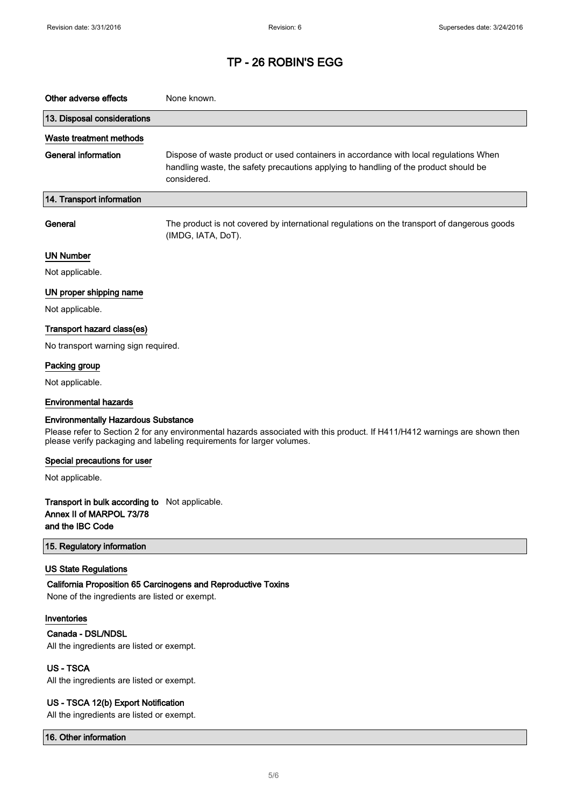| Other adverse effects                                                                                                                                                                                                                             | None known.                                                                                                                                                                                  |  |
|---------------------------------------------------------------------------------------------------------------------------------------------------------------------------------------------------------------------------------------------------|----------------------------------------------------------------------------------------------------------------------------------------------------------------------------------------------|--|
| 13. Disposal considerations                                                                                                                                                                                                                       |                                                                                                                                                                                              |  |
| Waste treatment methods                                                                                                                                                                                                                           |                                                                                                                                                                                              |  |
| <b>General information</b>                                                                                                                                                                                                                        | Dispose of waste product or used containers in accordance with local regulations When<br>handling waste, the safety precautions applying to handling of the product should be<br>considered. |  |
| 14. Transport information                                                                                                                                                                                                                         |                                                                                                                                                                                              |  |
| General                                                                                                                                                                                                                                           | The product is not covered by international regulations on the transport of dangerous goods<br>(IMDG, IATA, DoT).                                                                            |  |
| <b>UN Number</b>                                                                                                                                                                                                                                  |                                                                                                                                                                                              |  |
| Not applicable.                                                                                                                                                                                                                                   |                                                                                                                                                                                              |  |
| UN proper shipping name                                                                                                                                                                                                                           |                                                                                                                                                                                              |  |
| Not applicable.                                                                                                                                                                                                                                   |                                                                                                                                                                                              |  |
| Transport hazard class(es)                                                                                                                                                                                                                        |                                                                                                                                                                                              |  |
| No transport warning sign required.                                                                                                                                                                                                               |                                                                                                                                                                                              |  |
| Packing group                                                                                                                                                                                                                                     |                                                                                                                                                                                              |  |
| Not applicable.                                                                                                                                                                                                                                   |                                                                                                                                                                                              |  |
| <b>Environmental hazards</b>                                                                                                                                                                                                                      |                                                                                                                                                                                              |  |
| <b>Environmentally Hazardous Substance</b><br>Please refer to Section 2 for any environmental hazards associated with this product. If H411/H412 warnings are shown then<br>please verify packaging and labeling requirements for larger volumes. |                                                                                                                                                                                              |  |
| Special precautions for user                                                                                                                                                                                                                      |                                                                                                                                                                                              |  |
| Not applicable.                                                                                                                                                                                                                                   |                                                                                                                                                                                              |  |
| Transport in bulk according to Not applicable.<br>Annex II of MARPOL 73/78<br>and the IBC Code                                                                                                                                                    |                                                                                                                                                                                              |  |
| 15. Regulatory information                                                                                                                                                                                                                        |                                                                                                                                                                                              |  |
| <b>US State Regulations</b><br>None of the ingredients are listed or exempt.                                                                                                                                                                      | California Proposition 65 Carcinogens and Reproductive Toxins                                                                                                                                |  |
| Inventories                                                                                                                                                                                                                                       |                                                                                                                                                                                              |  |
| Canada - DSL/NDSL<br>All the ingredients are listed or exempt.                                                                                                                                                                                    |                                                                                                                                                                                              |  |
| <b>US-TSCA</b>                                                                                                                                                                                                                                    |                                                                                                                                                                                              |  |
| All the ingredients are listed or exempt.                                                                                                                                                                                                         |                                                                                                                                                                                              |  |
| US - TSCA 12(b) Export Notification<br>All the ingredients are listed or exempt.                                                                                                                                                                  |                                                                                                                                                                                              |  |

16. Other information